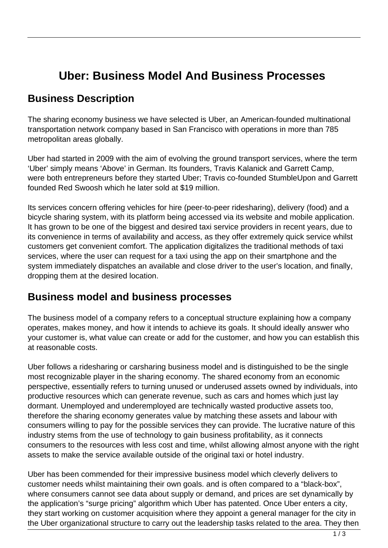# **Uber: Business Model And Business Processes**

# **Business Description**

The sharing economy business we have selected is Uber, an American-founded multinational transportation network company based in San Francisco with operations in more than 785 metropolitan areas globally.

Uber had started in 2009 with the aim of evolving the ground transport services, where the term 'Uber' simply means 'Above' in German. Its founders, Travis Kalanick and Garrett Camp, were both entrepreneurs before they started Uber; Travis co-founded StumbleUpon and Garrett founded Red Swoosh which he later sold at \$19 million.

Its services concern offering vehicles for hire (peer-to-peer ridesharing), delivery (food) and a bicycle sharing system, with its platform being accessed via its website and mobile application. It has grown to be one of the biggest and desired taxi service providers in recent years, due to its convenience in terms of availability and access, as they offer extremely quick service whilst customers get convenient comfort. The application digitalizes the traditional methods of taxi services, where the user can request for a taxi using the app on their smartphone and the system immediately dispatches an available and close driver to the user's location, and finally, dropping them at the desired location.

## **Business model and business processes**

The business model of a company refers to a conceptual structure explaining how a company operates, makes money, and how it intends to achieve its goals. It should ideally answer who your customer is, what value can create or add for the customer, and how you can establish this at reasonable costs.

Uber follows a ridesharing or carsharing business model and is distinguished to be the single most recognizable player in the sharing economy. The shared economy from an economic perspective, essentially refers to turning unused or underused assets owned by individuals, into productive resources which can generate revenue, such as cars and homes which just lay dormant. Unemployed and underemployed are technically wasted productive assets too, therefore the sharing economy generates value by matching these assets and labour with consumers willing to pay for the possible services they can provide. The lucrative nature of this industry stems from the use of technology to gain business profitability, as it connects consumers to the resources with less cost and time, whilst allowing almost anyone with the right assets to make the service available outside of the original taxi or hotel industry.

Uber has been commended for their impressive business model which cleverly delivers to customer needs whilst maintaining their own goals. and is often compared to a "black-box", where consumers cannot see data about supply or demand, and prices are set dynamically by the application's "surge pricing" algorithm which Uber has patented. Once Uber enters a city, they start working on customer acquisition where they appoint a general manager for the city in the Uber organizational structure to carry out the leadership tasks related to the area. They then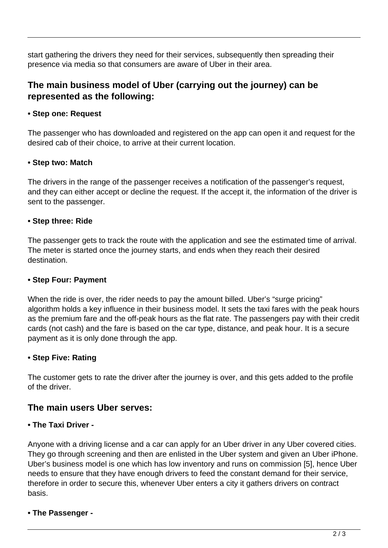start gathering the drivers they need for their services, subsequently then spreading their presence via media so that consumers are aware of Uber in their area.

### **The main business model of Uber (carrying out the journey) can be represented as the following:**

#### **• Step one: Request**

The passenger who has downloaded and registered on the app can open it and request for the desired cab of their choice, to arrive at their current location.

#### **• Step two: Match**

The drivers in the range of the passenger receives a notification of the passenger's request, and they can either accept or decline the request. If the accept it, the information of the driver is sent to the passenger.

#### **• Step three: Ride**

The passenger gets to track the route with the application and see the estimated time of arrival. The meter is started once the journey starts, and ends when they reach their desired destination.

#### **• Step Four: Payment**

When the ride is over, the rider needs to pay the amount billed. Uber's "surge pricing" algorithm holds a key influence in their business model. It sets the taxi fares with the peak hours as the premium fare and the off-peak hours as the flat rate. The passengers pay with their credit cards (not cash) and the fare is based on the car type, distance, and peak hour. It is a secure payment as it is only done through the app.

#### **• Step Five: Rating**

The customer gets to rate the driver after the journey is over, and this gets added to the profile of the driver.

### **The main users Uber serves:**

#### **• The Taxi Driver -**

Anyone with a driving license and a car can apply for an Uber driver in any Uber covered cities. They go through screening and then are enlisted in the Uber system and given an Uber iPhone. Uber's business model is one which has low inventory and runs on commission [5], hence Uber needs to ensure that they have enough drivers to feed the constant demand for their service, therefore in order to secure this, whenever Uber enters a city it gathers drivers on contract basis.

#### **• The Passenger -**